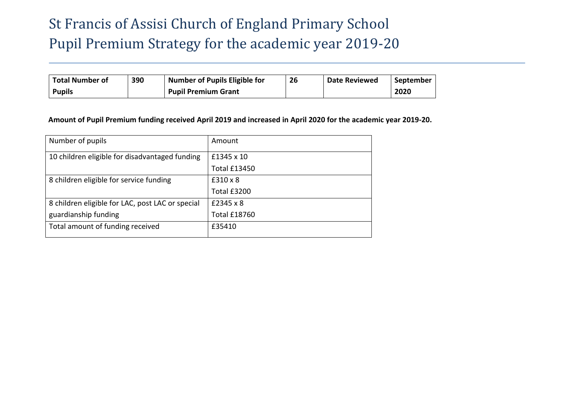# St Francis of Assisi Church of England Primary School Pupil Premium Strategy for the academic year 2019-20

| <b>Total Number of</b> | 390 | <b>Number of Pupils Eligible for</b> | 26 | <b>Date Reviewed</b> | September |
|------------------------|-----|--------------------------------------|----|----------------------|-----------|
| <b>Pupils</b>          |     | <b>Pupil Premium Grant</b>           |    |                      | 2020      |

### **Amount of Pupil Premium funding received April 2019 and increased in April 2020 for the academic year 2019-20.**

| Number of pupils                                 | Amount              |
|--------------------------------------------------|---------------------|
| 10 children eligible for disadvantaged funding   | £1345 x 10          |
|                                                  | <b>Total £13450</b> |
| 8 children eligible for service funding          | $£310 \times 8$     |
|                                                  | Total £3200         |
| 8 children eligible for LAC, post LAC or special | £2345 x 8           |
| guardianship funding                             | <b>Total £18760</b> |
| Total amount of funding received                 | £35410              |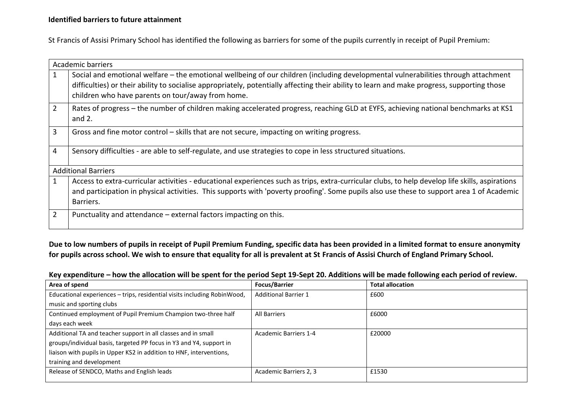#### **Identified barriers to future attainment**

St Francis of Assisi Primary School has identified the following as barriers for some of the pupils currently in receipt of Pupil Premium:

|                | Academic barriers                                                                                                                                                                                                                                                                                                                      |
|----------------|----------------------------------------------------------------------------------------------------------------------------------------------------------------------------------------------------------------------------------------------------------------------------------------------------------------------------------------|
|                | Social and emotional welfare – the emotional wellbeing of our children (including developmental vulnerabilities through attachment<br>difficulties) or their ability to socialise appropriately, potentially affecting their ability to learn and make progress, supporting those<br>children who have parents on tour/away from home. |
| $\overline{2}$ | Rates of progress – the number of children making accelerated progress, reaching GLD at EYFS, achieving national benchmarks at KS1<br>and $2.$                                                                                                                                                                                         |
| 3              | Gross and fine motor control - skills that are not secure, impacting on writing progress.                                                                                                                                                                                                                                              |
| 4              | Sensory difficulties - are able to self-regulate, and use strategies to cope in less structured situations.                                                                                                                                                                                                                            |
|                | <b>Additional Barriers</b>                                                                                                                                                                                                                                                                                                             |
|                | Access to extra-curricular activities - educational experiences such as trips, extra-curricular clubs, to help develop life skills, aspirations<br>and participation in physical activities. This supports with 'poverty proofing'. Some pupils also use these to support area 1 of Academic<br>Barriers.                              |
| 2              | Punctuality and attendance – external factors impacting on this.                                                                                                                                                                                                                                                                       |

**Due to low numbers of pupils in receipt of Pupil Premium Funding, specific data has been provided in a limited format to ensure anonymity for pupils across school. We wish to ensure that equality for all is prevalent at St Francis of Assisi Church of England Primary School.**

## **Key expenditure – how the allocation will be spent for the period Sept 19-Sept 20. Additions will be made following each period of review.**

| Area of spend                                                            | <b>Focus/Barrier</b>         | <b>Total allocation</b> |
|--------------------------------------------------------------------------|------------------------------|-------------------------|
| Educational experiences - trips, residential visits including RobinWood, | <b>Additional Barrier 1</b>  | £600                    |
| music and sporting clubs                                                 |                              |                         |
| Continued employment of Pupil Premium Champion two-three half            | <b>All Barriers</b>          | £6000                   |
| days each week                                                           |                              |                         |
| Additional TA and teacher support in all classes and in small            | <b>Academic Barriers 1-4</b> | £20000                  |
| groups/individual basis, targeted PP focus in Y3 and Y4, support in      |                              |                         |
| liaison with pupils in Upper KS2 in addition to HNF, interventions,      |                              |                         |
| training and development                                                 |                              |                         |
| Release of SENDCO, Maths and English leads                               | Academic Barriers 2, 3       | £1530                   |
|                                                                          |                              |                         |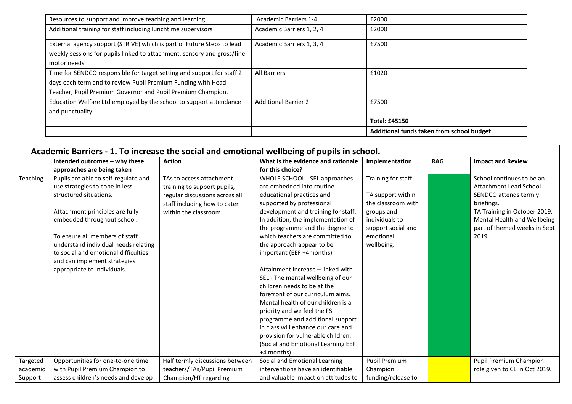|                                                                         |                              | Additional funds taken from school budget |
|-------------------------------------------------------------------------|------------------------------|-------------------------------------------|
|                                                                         |                              | <b>Total: £45150</b>                      |
| and punctuality.                                                        |                              |                                           |
| Education Welfare Ltd employed by the school to support attendance      | <b>Additional Barrier 2</b>  | £7500                                     |
| Teacher, Pupil Premium Governor and Pupil Premium Champion.             |                              |                                           |
| days each term and to review Pupil Premium Funding with Head            |                              |                                           |
| Time for SENDCO responsible for target setting and support for staff 2  | All Barriers                 | £1020                                     |
| motor needs.                                                            |                              |                                           |
| weekly sessions for pupils linked to attachment, sensory and gross/fine |                              |                                           |
| External agency support (STRIVE) which is part of Future Steps to lead  | Academic Barriers 1, 3, 4    | £7500                                     |
| Additional training for staff including lunchtime supervisors           | Academic Barriers 1, 2, 4    | £2000                                     |
| Resources to support and improve teaching and learning                  | <b>Academic Barriers 1-4</b> | £2000                                     |

|          | Academic Barriers - 1. To increase the social and emotional wellbeing of pupils in school. |                                 |                                     |                      |            |                               |  |  |
|----------|--------------------------------------------------------------------------------------------|---------------------------------|-------------------------------------|----------------------|------------|-------------------------------|--|--|
|          | Intended outcomes - why these                                                              | <b>Action</b>                   | What is the evidence and rationale  | Implementation       | <b>RAG</b> | <b>Impact and Review</b>      |  |  |
|          | approaches are being taken                                                                 |                                 | for this choice?                    |                      |            |                               |  |  |
| Teaching | Pupils are able to self-regulate and                                                       | TAs to access attachment        | WHOLE SCHOOL - SEL approaches       | Training for staff.  |            | School continues to be an     |  |  |
|          | use strategies to cope in less                                                             | training to support pupils,     | are embedded into routine           |                      |            | Attachment Lead School.       |  |  |
|          | structured situations.                                                                     | regular discussions across all  | educational practices and           | TA support within    |            | SENDCO attends termly         |  |  |
|          |                                                                                            | staff including how to cater    | supported by professional           | the classroom with   |            | briefings.                    |  |  |
|          | Attachment principles are fully                                                            | within the classroom.           | development and training for staff. | groups and           |            | TA Training in October 2019.  |  |  |
|          | embedded throughout school.                                                                |                                 | In addition, the implementation of  | individuals to       |            | Mental Health and Wellbeing   |  |  |
|          |                                                                                            |                                 | the programme and the degree to     | support social and   |            | part of themed weeks in Sept  |  |  |
|          | To ensure all members of staff                                                             |                                 | which teachers are committed to     | emotional            |            | 2019.                         |  |  |
|          | understand individual needs relating                                                       |                                 | the approach appear to be           | wellbeing.           |            |                               |  |  |
|          | to social and emotional difficulties                                                       |                                 | important (EEF +4months)            |                      |            |                               |  |  |
|          | and can implement strategies                                                               |                                 |                                     |                      |            |                               |  |  |
|          | appropriate to individuals.                                                                |                                 | Attainment increase - linked with   |                      |            |                               |  |  |
|          |                                                                                            |                                 | SEL - The mental wellbeing of our   |                      |            |                               |  |  |
|          |                                                                                            |                                 | children needs to be at the         |                      |            |                               |  |  |
|          |                                                                                            |                                 | forefront of our curriculum aims.   |                      |            |                               |  |  |
|          |                                                                                            |                                 | Mental health of our children is a  |                      |            |                               |  |  |
|          |                                                                                            |                                 | priority and we feel the FS         |                      |            |                               |  |  |
|          |                                                                                            |                                 | programme and additional support    |                      |            |                               |  |  |
|          |                                                                                            |                                 | in class will enhance our care and  |                      |            |                               |  |  |
|          |                                                                                            |                                 | provision for vulnerable children.  |                      |            |                               |  |  |
|          |                                                                                            |                                 | (Social and Emotional Learning EEF  |                      |            |                               |  |  |
|          |                                                                                            |                                 | +4 months)                          |                      |            |                               |  |  |
| Targeted | Opportunities for one-to-one time                                                          | Half termly discussions between | Social and Emotional Learning       | <b>Pupil Premium</b> |            | <b>Pupil Premium Champion</b> |  |  |
| academic | with Pupil Premium Champion to                                                             | teachers/TAs/Pupil Premium      | interventions have an identifiable  | Champion             |            | role given to CE in Oct 2019. |  |  |
| Support  | assess children's needs and develop                                                        | Champion/HT regarding           | and valuable impact on attitudes to | funding/release to   |            |                               |  |  |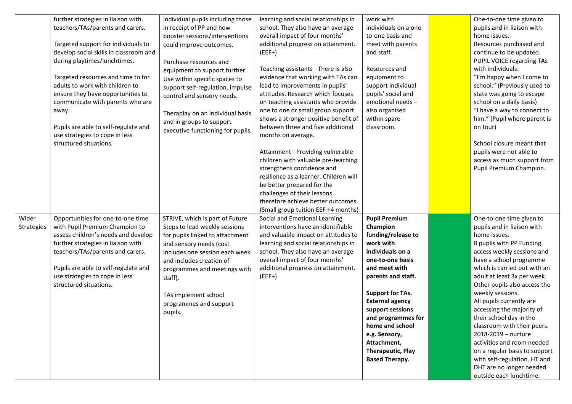|            | further strategies in liaison with     | individual pupils including those | learning and social relationships in   | work with                | One-to-one time given to      |
|------------|----------------------------------------|-----------------------------------|----------------------------------------|--------------------------|-------------------------------|
|            | teachers/TAs/parents and carers.       | in receipt of PP and how          | school. They also have an average      | individuals on a one-    | pupils and in liaison with    |
|            |                                        | booster sessions/interventions    | overall impact of four months'         | to-one basis and         | home issues.                  |
|            | Targeted support for individuals to    | could improve outcomes.           | additional progress on attainment.     | meet with parents        | Resources purchased and       |
|            | develop social skills in classroom and |                                   | $(EEF+)$                               | and staff.               | continue to be updated.       |
|            | during playtimes/lunchtimes.           | Purchase resources and            |                                        |                          | PUPIL VOICE regarding TAs     |
|            |                                        | equipment to support further.     | Teaching assistants - There is also    | Resources and            | with individuals:             |
|            | Targeted resources and time to for     | Use within specific spaces to     | evidence that working with TAs can     | equipment to             | "I'm happy when I come to     |
|            | adults to work with children to        |                                   | lead to improvements in pupils'        | support individual       | school." (Previously used to  |
|            | ensure they have opportunities to      | support self-regulation, impulse  | attitudes. Research which focuses      | pupils' social and       | state was going to escape     |
|            | communicate with parents who are       | control and sensory needs.        | on teaching assistants who provide     | emotional needs -        | school on a daily basis)      |
|            | away.                                  |                                   | one to one or small group support      | also organised           | "I have a way to connect to   |
|            |                                        | Theraplay on an individual basis  | shows a stronger positive benefit of   | within spare             | him." (Pupil where parent is  |
|            |                                        | and in groups to support          | between three and five additional      |                          |                               |
|            | Pupils are able to self-regulate and   | executive functioning for pupils. |                                        | classroom.               | on tour)                      |
|            | use strategies to cope in less         |                                   | months on average.                     |                          |                               |
|            | structured situations.                 |                                   |                                        |                          | School closure meant that     |
|            |                                        |                                   | Attainment - Providing vulnerable      |                          | pupils were not able to       |
|            |                                        |                                   | children with valuable pre-teaching    |                          | access as much support from   |
|            |                                        |                                   | strengthens confidence and             |                          | Pupil Premium Champion.       |
|            |                                        |                                   | resilience as a learner. Children will |                          |                               |
|            |                                        |                                   | be better prepared for the             |                          |                               |
|            |                                        |                                   | challenges of their lessons            |                          |                               |
|            |                                        |                                   | therefore achieve better outcomes      |                          |                               |
|            |                                        |                                   | (Small group tuition EEF +4 months)    |                          |                               |
| Wider      | Opportunities for one-to-one time      | STRIVE, which is part of Future   | Social and Emotional Learning          | <b>Pupil Premium</b>     | One-to-one time given to      |
| Strategies | with Pupil Premium Champion to         | Steps to lead weekly sessions     | interventions have an identifiable     | Champion                 | pupils and in liaison with    |
|            | assess children's needs and develop    | for pupils linked to attachment   | and valuable impact on attitudes to    | funding/release to       | home issues.                  |
|            | further strategies in liaison with     | and sensory needs (cost           | learning and social relationships in   | work with                | 8 pupils with PP Funding      |
|            | teachers/TAs/parents and carers.       | includes one session each week    | school. They also have an average      | individuals on a         | access weekly sessions and    |
|            |                                        | and includes creation of          | overall impact of four months'         | one-to-one basis         | have a school programme       |
|            | Pupils are able to self-regulate and   | programmes and meetings with      | additional progress on attainment.     | and meet with            | which is carried out with an  |
|            | use strategies to cope in less         | staff).                           | $(EEF+)$                               | parents and staff.       | adult at least 3x per week.   |
|            | structured situations.                 |                                   |                                        |                          | Other pupils also access the  |
|            |                                        |                                   |                                        | <b>Support for TAs.</b>  | weekly sessions.              |
|            |                                        | TAs implement school              |                                        | <b>External agency</b>   | All pupils currently are      |
|            |                                        | programmes and support            |                                        | support sessions         | accessing the majority of     |
|            |                                        | pupils.                           |                                        | and programmes for       | their school day in the       |
|            |                                        |                                   |                                        | home and school          | classroom with their peers.   |
|            |                                        |                                   |                                        | e.g. Sensory,            | 2018-2019 - nurture           |
|            |                                        |                                   |                                        |                          | activities and room needed    |
|            |                                        |                                   |                                        | Attachment,              |                               |
|            |                                        |                                   |                                        | <b>Therapeutic, Play</b> | on a regular basis to support |
|            |                                        |                                   |                                        | <b>Based Therapy.</b>    | with self-regulation. HT and  |
|            |                                        |                                   |                                        |                          | DHT are no longer needed      |
|            |                                        |                                   |                                        |                          | outside each lunchtime.       |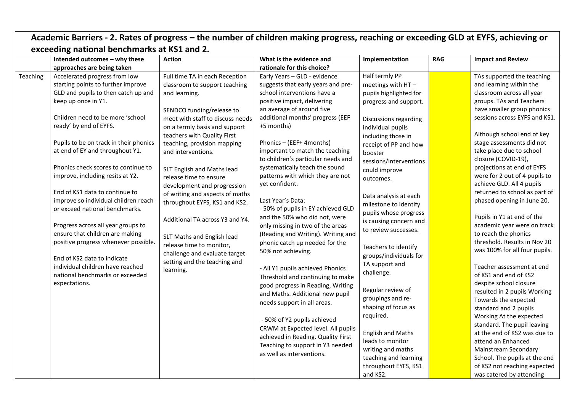| Academic Barriers - 2. Rates of progress - the number of children making progress, reaching or exceeding GLD at EYFS, achieving or<br>exceeding national benchmarks at KS1 and 2. |                                                                                                                                                                                                                                                                                                                                                                                                                                                                                                                                         |                                                                                                                                                                                                                                                                                                                                                                                                                                                                      |                                                                                                                                                                                                                                                                                                                                                                                                                                                                                                                                              |                                                                                                                                                                                                                                                                                                                                                             |                                                                                                                                             |                                                                                                                                                                                                                                                                                                                                                                                                                                                                                                                     |                                                                                                                                                                                                                                   |  |  |  |  |  |  |  |                                                                                            |                                                                                          |  |                                                                                                                    |
|-----------------------------------------------------------------------------------------------------------------------------------------------------------------------------------|-----------------------------------------------------------------------------------------------------------------------------------------------------------------------------------------------------------------------------------------------------------------------------------------------------------------------------------------------------------------------------------------------------------------------------------------------------------------------------------------------------------------------------------------|----------------------------------------------------------------------------------------------------------------------------------------------------------------------------------------------------------------------------------------------------------------------------------------------------------------------------------------------------------------------------------------------------------------------------------------------------------------------|----------------------------------------------------------------------------------------------------------------------------------------------------------------------------------------------------------------------------------------------------------------------------------------------------------------------------------------------------------------------------------------------------------------------------------------------------------------------------------------------------------------------------------------------|-------------------------------------------------------------------------------------------------------------------------------------------------------------------------------------------------------------------------------------------------------------------------------------------------------------------------------------------------------------|---------------------------------------------------------------------------------------------------------------------------------------------|---------------------------------------------------------------------------------------------------------------------------------------------------------------------------------------------------------------------------------------------------------------------------------------------------------------------------------------------------------------------------------------------------------------------------------------------------------------------------------------------------------------------|-----------------------------------------------------------------------------------------------------------------------------------------------------------------------------------------------------------------------------------|--|--|--|--|--|--|--|--------------------------------------------------------------------------------------------|------------------------------------------------------------------------------------------|--|--------------------------------------------------------------------------------------------------------------------|
|                                                                                                                                                                                   | Intended outcomes - why these                                                                                                                                                                                                                                                                                                                                                                                                                                                                                                           | <b>Action</b>                                                                                                                                                                                                                                                                                                                                                                                                                                                        | What is the evidence and                                                                                                                                                                                                                                                                                                                                                                                                                                                                                                                     | Implementation                                                                                                                                                                                                                                                                                                                                              | <b>RAG</b>                                                                                                                                  | <b>Impact and Review</b>                                                                                                                                                                                                                                                                                                                                                                                                                                                                                            |                                                                                                                                                                                                                                   |  |  |  |  |  |  |  |                                                                                            |                                                                                          |  |                                                                                                                    |
|                                                                                                                                                                                   |                                                                                                                                                                                                                                                                                                                                                                                                                                                                                                                                         |                                                                                                                                                                                                                                                                                                                                                                                                                                                                      | rationale for this choice?                                                                                                                                                                                                                                                                                                                                                                                                                                                                                                                   |                                                                                                                                                                                                                                                                                                                                                             |                                                                                                                                             |                                                                                                                                                                                                                                                                                                                                                                                                                                                                                                                     |                                                                                                                                                                                                                                   |  |  |  |  |  |  |  |                                                                                            |                                                                                          |  |                                                                                                                    |
| Teaching                                                                                                                                                                          | approaches are being taken<br>Accelerated progress from low<br>starting points to further improve<br>GLD and pupils to then catch up and<br>keep up once in Y1.<br>Children need to be more 'school<br>ready' by end of EYFS.<br>Pupils to be on track in their phonics<br>at end of EY and throughout Y1.<br>Phonics check scores to continue to<br>improve, including resits at Y2.<br>End of KS1 data to continue to<br>improve so individual children reach<br>or exceed national benchmarks.<br>Progress across all year groups to | Full time TA in each Reception<br>classroom to support teaching<br>and learning.<br>SENDCO funding/release to<br>meet with staff to discuss needs<br>on a termly basis and support<br>teachers with Quality First<br>teaching, provision mapping<br>and interventions.<br>SLT English and Maths lead<br>release time to ensure<br>development and progression<br>of writing and aspects of maths<br>throughout EYFS, KS1 and KS2.<br>Additional TA across Y3 and Y4. | Early Years - GLD - evidence<br>suggests that early years and pre-<br>school interventions have a<br>positive impact, delivering<br>an average of around five<br>additional months' progress (EEF<br>+5 months)<br>Phonics - (EEF+ 4months)<br>important to match the teaching<br>to children's particular needs and<br>systematically teach the sound<br>patterns with which they are not<br>yet confident.<br>Last Year's Data:<br>- 50% of pupils in EY achieved GLD<br>and the 50% who did not, were<br>only missing in two of the areas | Half termly PP<br>meetings with HT-<br>pupils highlighted for<br>progress and support.<br>Discussions regarding<br>individual pupils<br>including those in<br>receipt of PP and how<br>booster<br>sessions/interventions<br>could improve<br>outcomes.<br>Data analysis at each<br>milestone to identify<br>pupils whose progress<br>is causing concern and |                                                                                                                                             | TAs supported the teaching<br>and learning within the<br>classroom across all year<br>groups. TAs and Teachers<br>have smaller group phonics<br>sessions across EYFS and KS1.<br>Although school end of key<br>stage assessments did not<br>take place due to school<br>closure (COVID-19),<br>projections at end of EYFS<br>were for 2 out of 4 pupils to<br>achieve GLD. All 4 pupils<br>returned to school as part of<br>phased opening in June 20.<br>Pupils in Y1 at end of the<br>academic year were on track |                                                                                                                                                                                                                                   |  |  |  |  |  |  |  |                                                                                            |                                                                                          |  |                                                                                                                    |
|                                                                                                                                                                                   | ensure that children are making<br>positive progress whenever possible.<br>End of KS2 data to indicate<br>individual children have reached                                                                                                                                                                                                                                                                                                                                                                                              | SLT Maths and English lead<br>release time to monitor,<br>challenge and evaluate target<br>setting and the teaching and<br>learning.                                                                                                                                                                                                                                                                                                                                 |                                                                                                                                                                                                                                                                                                                                                                                                                                                                                                                                              |                                                                                                                                                                                                                                                                                                                                                             |                                                                                                                                             |                                                                                                                                                                                                                                                                                                                                                                                                                                                                                                                     |                                                                                                                                                                                                                                   |  |  |  |  |  |  |  | (Reading and Writing). Writing and<br>phonic catch up needed for the<br>50% not achieving. | to review successes.<br>Teachers to identify<br>groups/individuals for<br>TA support and |  | to reach the phonics<br>threshold. Results in Nov 20<br>was 100% for all four pupils.<br>Teacher assessment at end |
| national benchmarks or exceeded<br>expectations.                                                                                                                                  |                                                                                                                                                                                                                                                                                                                                                                                                                                                                                                                                         |                                                                                                                                                                                                                                                                                                                                                                                                                                                                      |                                                                                                                                                                                                                                                                                                                                                                                                                                                                                                                                              | - All Y1 pupils achieved Phonics<br>Threshold and continuing to make<br>good progress in Reading, Writing<br>and Maths. Additional new pupil<br>needs support in all areas.                                                                                                                                                                                 | challenge.<br>Regular review of<br>groupings and re-<br>shaping of focus as                                                                 |                                                                                                                                                                                                                                                                                                                                                                                                                                                                                                                     | of KS1 and end of KS2<br>despite school closure<br>resulted in 2 pupils Working<br>Towards the expected<br>standard and 2 pupils                                                                                                  |  |  |  |  |  |  |  |                                                                                            |                                                                                          |  |                                                                                                                    |
|                                                                                                                                                                                   |                                                                                                                                                                                                                                                                                                                                                                                                                                                                                                                                         |                                                                                                                                                                                                                                                                                                                                                                                                                                                                      |                                                                                                                                                                                                                                                                                                                                                                                                                                                                                                                                              | - 50% of Y2 pupils achieved<br>CRWM at Expected level. All pupils<br>achieved in Reading. Quality First<br>Teaching to support in Y3 needed<br>as well as interventions.                                                                                                                                                                                    | required.<br><b>English and Maths</b><br>leads to monitor<br>writing and maths<br>teaching and learning<br>throughout EYFS, KS1<br>and KS2. |                                                                                                                                                                                                                                                                                                                                                                                                                                                                                                                     | Working At the expected<br>standard. The pupil leaving<br>at the end of KS2 was due to<br>attend an Enhanced<br>Mainstream Secondary<br>School. The pupils at the end<br>of KS2 not reaching expected<br>was catered by attending |  |  |  |  |  |  |  |                                                                                            |                                                                                          |  |                                                                                                                    |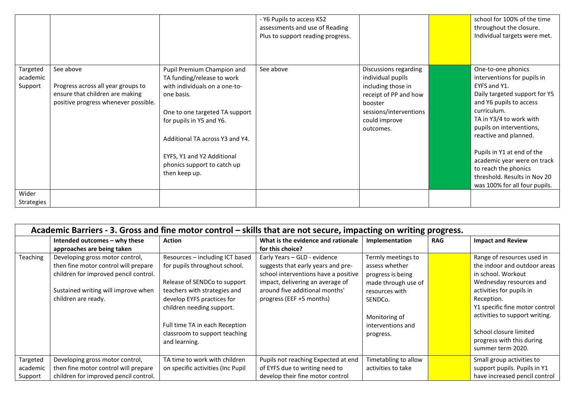|                                 |                                                                                                                            |                                                                                                                                                                                                                                                                                        | - Y6 Pupils to access KS2<br>assessments and use of Reading<br>Plus to support reading progress. |                                                                                                                                                              | school for 100% of the time<br>throughout the closure.<br>Individual targets were met.                                                                                                                                                                                                                                                                                             |
|---------------------------------|----------------------------------------------------------------------------------------------------------------------------|----------------------------------------------------------------------------------------------------------------------------------------------------------------------------------------------------------------------------------------------------------------------------------------|--------------------------------------------------------------------------------------------------|--------------------------------------------------------------------------------------------------------------------------------------------------------------|------------------------------------------------------------------------------------------------------------------------------------------------------------------------------------------------------------------------------------------------------------------------------------------------------------------------------------------------------------------------------------|
| Targeted<br>academic<br>Support | See above<br>Progress across all year groups to<br>ensure that children are making<br>positive progress whenever possible. | Pupil Premium Champion and<br>TA funding/release to work<br>with individuals on a one-to-<br>one basis.<br>One to one targeted TA support<br>for pupils in Y5 and Y6.<br>Additional TA across Y3 and Y4.<br>EYFS, Y1 and Y2 Additional<br>phonics support to catch up<br>then keep up. | See above                                                                                        | Discussions regarding<br>individual pupils<br>including those in<br>receipt of PP and how<br>booster<br>sessions/interventions<br>could improve<br>outcomes. | One-to-one phonics<br>interventions for pupils in<br>EYFS and Y1.<br>Daily targeted support for Y5<br>and Y6 pupils to access<br>curriculum.<br>TA in Y3/4 to work with<br>pupils on interventions,<br>reactive and planned.<br>Pupils in Y1 at end of the<br>academic year were on track<br>to reach the phonics<br>threshold. Results in Nov 20<br>was 100% for all four pupils. |
| Wider<br>Strategies             |                                                                                                                            |                                                                                                                                                                                                                                                                                        |                                                                                                  |                                                                                                                                                              |                                                                                                                                                                                                                                                                                                                                                                                    |

|                                 | Academic Barriers - 3. Gross and fine motor control – skills that are not secure, impacting on writing progress.                                                               |                                                                                                                                                                                                                                                                                 |                                                                                                                                                                                                              |                                                                                                                                                                  |            |                                                                                                                                                                                                                                                                                                       |  |
|---------------------------------|--------------------------------------------------------------------------------------------------------------------------------------------------------------------------------|---------------------------------------------------------------------------------------------------------------------------------------------------------------------------------------------------------------------------------------------------------------------------------|--------------------------------------------------------------------------------------------------------------------------------------------------------------------------------------------------------------|------------------------------------------------------------------------------------------------------------------------------------------------------------------|------------|-------------------------------------------------------------------------------------------------------------------------------------------------------------------------------------------------------------------------------------------------------------------------------------------------------|--|
|                                 | Intended outcomes - why these<br>approaches are being taken                                                                                                                    | <b>Action</b>                                                                                                                                                                                                                                                                   | What is the evidence and rationale<br>for this choice?                                                                                                                                                       | Implementation                                                                                                                                                   | <b>RAG</b> | <b>Impact and Review</b>                                                                                                                                                                                                                                                                              |  |
| Teaching                        | Developing gross motor control,<br>then fine motor control will prepare<br>children for improved pencil control.<br>Sustained writing will improve when<br>children are ready. | Resources - including ICT based<br>for pupils throughout school.<br>Release of SENDCo to support<br>teachers with strategies and<br>develop EYFS practices for<br>children needing support.<br>Full time TA in each Reception<br>classroom to support teaching<br>and learning. | Early Years - GLD - evidence<br>suggests that early years and pre-<br>school interventions have a positive<br>impact, delivering an average of<br>around five additional months'<br>progress (EEF +5 months) | Termly meetings to<br>assess whether<br>progress is being<br>made through use of<br>resources with<br>SENDCo.<br>Monitoring of<br>interventions and<br>progress. |            | Range of resources used in<br>the indoor and outdoor areas<br>in school. Workout<br>Wednesday resources and<br>activities for pupils in<br>Reception.<br>Y1 specific fine motor control<br>activities to support writing.<br>School closure limited<br>progress with this during<br>summer term 2020. |  |
| Targeted<br>academic<br>Support | Developing gross motor control,<br>then fine motor control will prepare<br>children for improved pencil control.                                                               | TA time to work with children<br>on specific activities (Inc Pupil                                                                                                                                                                                                              | Pupils not reaching Expected at end<br>of EYFS due to writing need to<br>develop their fine motor control                                                                                                    | Timetabling to allow<br>activities to take                                                                                                                       |            | Small group activities to<br>support pupils. Pupils in Y1<br>have increased pencil control                                                                                                                                                                                                            |  |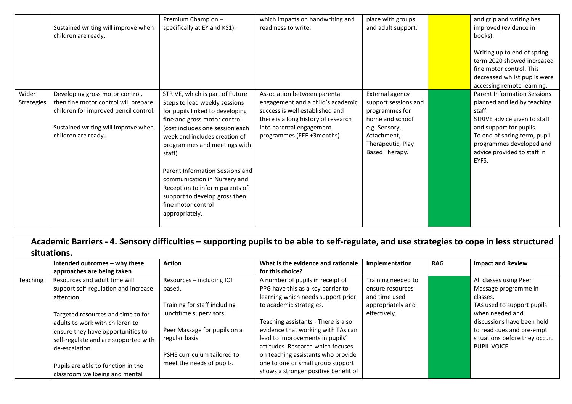|                            | Sustained writing will improve when<br>children are ready.                                                                                                                     | Premium Champion-<br>specifically at EY and KS1).                                                                                                                                                                                                                                                                                                                                                                                | which impacts on handwriting and<br>readiness to write.                                                                                                                                              | place with groups<br>and adult support.                                                                                                             | and grip and writing has<br>improved (evidence in<br>books).<br>Writing up to end of spring<br>term 2020 showed increased<br>fine motor control. This<br>decreased whilst pupils were<br>accessing remote learning.                        |
|----------------------------|--------------------------------------------------------------------------------------------------------------------------------------------------------------------------------|----------------------------------------------------------------------------------------------------------------------------------------------------------------------------------------------------------------------------------------------------------------------------------------------------------------------------------------------------------------------------------------------------------------------------------|------------------------------------------------------------------------------------------------------------------------------------------------------------------------------------------------------|-----------------------------------------------------------------------------------------------------------------------------------------------------|--------------------------------------------------------------------------------------------------------------------------------------------------------------------------------------------------------------------------------------------|
| Wider<br><b>Strategies</b> | Developing gross motor control,<br>then fine motor control will prepare<br>children for improved pencil control.<br>Sustained writing will improve when<br>children are ready. | STRIVE, which is part of Future<br>Steps to lead weekly sessions<br>for pupils linked to developing<br>fine and gross motor control<br>(cost includes one session each<br>week and includes creation of<br>programmes and meetings with<br>staff).<br>Parent Information Sessions and<br>communication in Nursery and<br>Reception to inform parents of<br>support to develop gross then<br>fine motor control<br>appropriately. | Association between parental<br>engagement and a child's academic<br>success is well established and<br>there is a long history of research<br>into parental engagement<br>programmes (EEF +3months) | External agency<br>support sessions and<br>programmes for<br>home and school<br>e.g. Sensory,<br>Attachment,<br>Therapeutic, Play<br>Based Therapy. | <b>Parent Information Sessions</b><br>planned and led by teaching<br>staff.<br>STRIVE advice given to staff<br>and support for pupils.<br>To end of spring term, pupil<br>programmes developed and<br>advice provided to staff in<br>EYFS. |

**Academic Barriers - 4. Sensory difficulties – supporting pupils to be able to self-regulate, and use strategies to cope in less structured situations.**

|          | Intended outcomes - why these        | <b>Action</b>                | What is the evidence and rationale   | Implementation     | <b>RAG</b> | <b>Impact and Review</b>      |  |  |
|----------|--------------------------------------|------------------------------|--------------------------------------|--------------------|------------|-------------------------------|--|--|
|          | approaches are being taken           |                              | for this choice?                     |                    |            |                               |  |  |
| Teaching | Resources and adult time will        | Resources - including ICT    | A number of pupils in receipt of     | Training needed to |            | All classes using Peer        |  |  |
|          | support self-regulation and increase | based.                       | PPG have this as a key barrier to    | ensure resources   |            | Massage programme in          |  |  |
|          | attention.                           |                              | learning which needs support prior   | and time used      |            | classes.                      |  |  |
|          |                                      | Training for staff including | to academic strategies.              | appropriately and  |            | TAs used to support pupils    |  |  |
|          | Targeted resources and time to for   | lunchtime supervisors.       |                                      | effectively.       |            | when needed and               |  |  |
|          | adults to work with children to      |                              | Teaching assistants - There is also  |                    |            | discussions have been held    |  |  |
|          | ensure they have opportunities to    | Peer Massage for pupils on a | evidence that working with TAs can   |                    |            | to read cues and pre-empt     |  |  |
|          | self-regulate and are supported with | regular basis.               | lead to improvements in pupils'      |                    |            | situations before they occur. |  |  |
|          | de-escalation.                       |                              | attitudes. Research which focuses    |                    |            | PUPIL VOICE                   |  |  |
|          |                                      | PSHE curriculum tailored to  | on teaching assistants who provide   |                    |            |                               |  |  |
|          | Pupils are able to function in the   | meet the needs of pupils.    | one to one or small group support    |                    |            |                               |  |  |
|          | classroom wellbeing and mental       |                              | shows a stronger positive benefit of |                    |            |                               |  |  |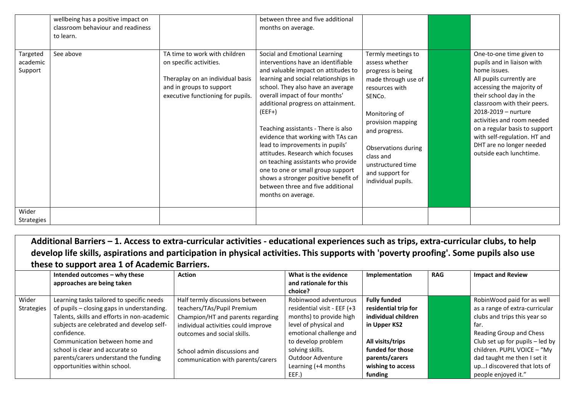|                                 | wellbeing has a positive impact on<br>classroom behaviour and readiness<br>to learn. |                                                                                                                                                               | between three and five additional<br>months on average.                                                                                                                                                                                                                                                                                                                                                                                                                                                                                                                                                        |                                                                                                                                                                                                                                                                       |                                                                                                                                                                                                                                                                                                                                                                        |
|---------------------------------|--------------------------------------------------------------------------------------|---------------------------------------------------------------------------------------------------------------------------------------------------------------|----------------------------------------------------------------------------------------------------------------------------------------------------------------------------------------------------------------------------------------------------------------------------------------------------------------------------------------------------------------------------------------------------------------------------------------------------------------------------------------------------------------------------------------------------------------------------------------------------------------|-----------------------------------------------------------------------------------------------------------------------------------------------------------------------------------------------------------------------------------------------------------------------|------------------------------------------------------------------------------------------------------------------------------------------------------------------------------------------------------------------------------------------------------------------------------------------------------------------------------------------------------------------------|
| Targeted<br>academic<br>Support | See above                                                                            | TA time to work with children<br>on specific activities.<br>Theraplay on an individual basis<br>and in groups to support<br>executive functioning for pupils. | Social and Emotional Learning<br>interventions have an identifiable<br>and valuable impact on attitudes to<br>learning and social relationships in<br>school. They also have an average<br>overall impact of four months'<br>additional progress on attainment.<br>$(EEF+)$<br>Teaching assistants - There is also<br>evidence that working with TAs can<br>lead to improvements in pupils'<br>attitudes. Research which focuses<br>on teaching assistants who provide<br>one to one or small group support<br>shows a stronger positive benefit of<br>between three and five additional<br>months on average. | Termly meetings to<br>assess whether<br>progress is being<br>made through use of<br>resources with<br>SENCo.<br>Monitoring of<br>provision mapping<br>and progress.<br>Observations during<br>class and<br>unstructured time<br>and support for<br>individual pupils. | One-to-one time given to<br>pupils and in liaison with<br>home issues.<br>All pupils currently are<br>accessing the majority of<br>their school day in the<br>classroom with their peers.<br>2018-2019 - nurture<br>activities and room needed<br>on a regular basis to support<br>with self-regulation. HT and<br>DHT are no longer needed<br>outside each lunchtime. |
| Wider<br>Strategies             |                                                                                      |                                                                                                                                                               |                                                                                                                                                                                                                                                                                                                                                                                                                                                                                                                                                                                                                |                                                                                                                                                                                                                                                                       |                                                                                                                                                                                                                                                                                                                                                                        |

**Additional Barriers – 1. Access to extra-curricular activities - educational experiences such as trips, extra-curricular clubs, to help develop life skills, aspirations and participation in physical activities. This supports with 'poverty proofing'. Some pupils also use these to support area 1 of Academic Barriers.**

|                   | Intended outcomes - why these               | <b>Action</b>                       | What is the evidence        | Implementation       | <b>RAG</b> | <b>Impact and Review</b>        |
|-------------------|---------------------------------------------|-------------------------------------|-----------------------------|----------------------|------------|---------------------------------|
|                   | approaches are being taken                  |                                     | and rationale for this      |                      |            |                                 |
|                   |                                             |                                     | choice?                     |                      |            |                                 |
| Wider             | Learning tasks tailored to specific needs   | Half termly discussions between     | Robinwood adventurous       | <b>Fully funded</b>  |            | RobinWood paid for as well      |
| <b>Strategies</b> | of pupils - closing gaps in understanding.  | teachers/TAs/Pupil Premium          | residential visit - EEF (+3 | residential trip for |            | as a range of extra-curricular  |
|                   | Talents, skills and efforts in non-academic | Champion/HT and parents regarding   | months) to provide high     | individual children  |            | clubs and trips this year so    |
|                   | subjects are celebrated and develop self-   | individual activities could improve | level of physical and       | in Upper KS2         |            | far.                            |
|                   | confidence.                                 | outcomes and social skills.         | emotional challenge and     |                      |            | Reading Group and Chess         |
|                   | Communication between home and              |                                     | to develop problem          | All visits/trips     |            | Club set up for pupils - led by |
|                   | school is clear and accurate so             | School admin discussions and        | solving skills.             | funded for those     |            | children. PUPIL VOICE - "My     |
|                   | parents/carers understand the funding       | communication with parents/carers   | Outdoor Adventure           | parents/carers       |            | dad taught me then I set it     |
|                   | opportunities within school.                |                                     | Learning (+4 months         | wishing to access    |            | upI discovered that lots of     |
|                   |                                             |                                     | EEF.)                       | funding              |            | people enjoyed it."             |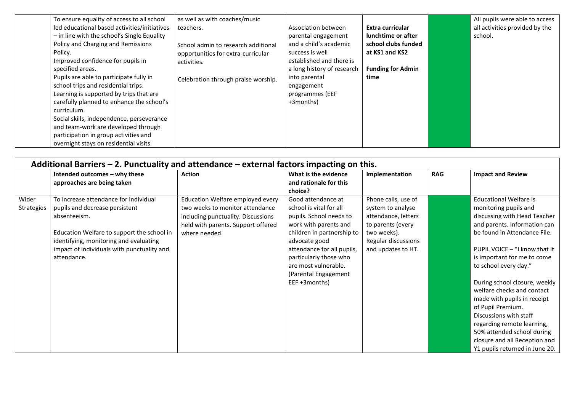| To ensure equality of access to all school   | as well as with coaches/music       |                            |                          | All pupils were able to access |
|----------------------------------------------|-------------------------------------|----------------------------|--------------------------|--------------------------------|
| led educational based activities/initiatives | teachers.                           | Association between        | Extra curricular         | all activities provided by the |
| - in line with the school's Single Equality  |                                     | parental engagement        | lunchtime or after       | school.                        |
| Policy and Charging and Remissions           | School admin to research additional | and a child's academic     | school clubs funded      |                                |
| Policy.                                      | opportunities for extra-curricular  | success is well            | at KS1 and KS2           |                                |
| Improved confidence for pupils in            | activities.                         | established and there is   |                          |                                |
| specified areas.                             |                                     | a long history of research | <b>Funding for Admin</b> |                                |
| Pupils are able to participate fully in      | Celebration through praise worship. | into parental              | time                     |                                |
| school trips and residential trips.          |                                     | engagement                 |                          |                                |
| Learning is supported by trips that are      |                                     | programmes (EEF            |                          |                                |
| carefully planned to enhance the school's    |                                     | +3months)                  |                          |                                |
| curriculum.                                  |                                     |                            |                          |                                |
| Social skills, independence, perseverance    |                                     |                            |                          |                                |
| and team-work are developed through          |                                     |                            |                          |                                |
| participation in group activities and        |                                     |                            |                          |                                |
| overnight stays on residential visits.       |                                     |                            |                          |                                |

| Additional Barriers $-$ 2. Punctuality and attendance $-$ external factors impacting on this. |                                                                                                                                                                                                                                              |                                                                                                                                                                  |                                                                                                                                                                                                                                                                           |                                                                                                                                                  |            |                                                                                                                                                                                                                                                                                                                                                                                                                                                                                                                             |
|-----------------------------------------------------------------------------------------------|----------------------------------------------------------------------------------------------------------------------------------------------------------------------------------------------------------------------------------------------|------------------------------------------------------------------------------------------------------------------------------------------------------------------|---------------------------------------------------------------------------------------------------------------------------------------------------------------------------------------------------------------------------------------------------------------------------|--------------------------------------------------------------------------------------------------------------------------------------------------|------------|-----------------------------------------------------------------------------------------------------------------------------------------------------------------------------------------------------------------------------------------------------------------------------------------------------------------------------------------------------------------------------------------------------------------------------------------------------------------------------------------------------------------------------|
|                                                                                               | Intended outcomes - why these<br>approaches are being taken                                                                                                                                                                                  | <b>Action</b>                                                                                                                                                    | What is the evidence<br>and rationale for this<br>choice?                                                                                                                                                                                                                 | Implementation                                                                                                                                   | <b>RAG</b> | <b>Impact and Review</b>                                                                                                                                                                                                                                                                                                                                                                                                                                                                                                    |
| Wider<br><b>Strategies</b>                                                                    | To increase attendance for individual<br>pupils and decrease persistent<br>absenteeism.<br>Education Welfare to support the school in<br>identifying, monitoring and evaluating<br>impact of individuals with punctuality and<br>attendance. | Education Welfare employed every<br>two weeks to monitor attendance<br>including punctuality. Discussions<br>held with parents. Support offered<br>where needed. | Good attendance at<br>school is vital for all<br>pupils. School needs to<br>work with parents and<br>children in partnership to<br>advocate good<br>attendance for all pupils,<br>particularly those who<br>are most vulnerable.<br>(Parental Engagement<br>EEF +3months) | Phone calls, use of<br>system to analyse<br>attendance, letters<br>to parents (every<br>two weeks).<br>Regular discussions<br>and updates to HT. |            | <b>Educational Welfare is</b><br>monitoring pupils and<br>discussing with Head Teacher<br>and parents. Information can<br>be found in Attendance File.<br>PUPIL VOICE - "I know that it<br>is important for me to come<br>to school every day."<br>During school closure, weekly<br>welfare checks and contact<br>made with pupils in receipt<br>of Pupil Premium.<br>Discussions with staff<br>regarding remote learning,<br>50% attended school during<br>closure and all Reception and<br>Y1 pupils returned in June 20. |